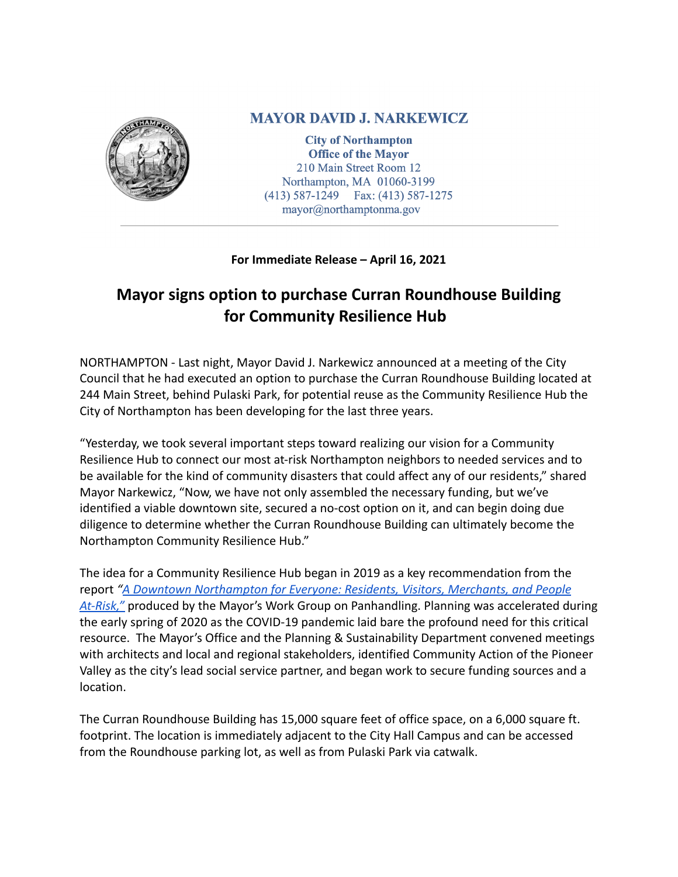

## **MAYOR DAVID J. NARKEWICZ**

**City of Northampton Office of the Mayor** 210 Main Street Room 12 Northampton, MA 01060-3199  $(413)$  587-1249 Fax:  $(413)$  587-1275 mayor@northamptonma.gov

## **For Immediate Release – April 16, 2021**

## **Mayor signs option to purchase Curran Roundhouse Building for Community Resilience Hub**

NORTHAMPTON - Last night, Mayor David J. Narkewicz announced at a meeting of the City Council that he had executed an option to purchase the Curran Roundhouse Building located at 244 Main Street, behind Pulaski Park, for potential reuse as the Community Resilience Hub the City of Northampton has been developing for the last three years.

"Yesterday, we took several important steps toward realizing our vision for a Community Resilience Hub to connect our most at-risk Northampton neighbors to needed services and to be available for the kind of community disasters that could affect any of our residents," shared Mayor Narkewicz, "Now, we have not only assembled the necessary funding, but we've identified a viable downtown site, secured a no-cost option on it, and can begin doing due diligence to determine whether the Curran Roundhouse Building can ultimately become the Northampton Community Resilience Hub."

The idea for a Community Resilience Hub began in 2019 as a key recommendation from the report *"[A Downtown Northampton for Everyone: Residents,](http://www.northamptonma.gov/DocumentCenter/View/13414/Mayors-Work-Group-on-Panhandling-Study-Report---October-2019-PDF?bidId=) Visitors, Merchants, and People [At-Risk,"](http://www.northamptonma.gov/DocumentCenter/View/13414/Mayors-Work-Group-on-Panhandling-Study-Report---October-2019-PDF?bidId=)* produced by the Mayor's Work Group on Panhandling. Planning was accelerated during the early spring of 2020 as the COVID-19 pandemic laid bare the profound need for this critical resource. The Mayor's Office and the Planning & Sustainability Department convened meetings with architects and local and regional stakeholders, identified Community Action of the Pioneer Valley as the city's lead social service partner, and began work to secure funding sources and a location.

The Curran Roundhouse Building has 15,000 square feet of office space, on a 6,000 square ft. footprint. The location is immediately adjacent to the City Hall Campus and can be accessed from the Roundhouse parking lot, as well as from Pulaski Park via catwalk.